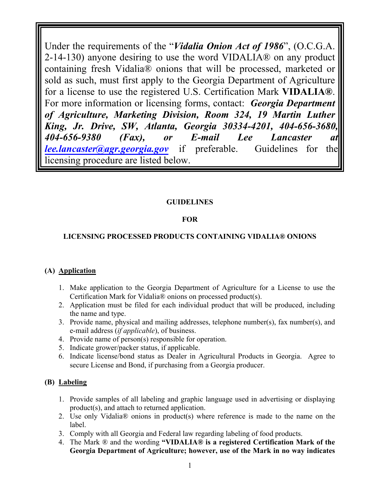Under the requirements of the "*Vidalia Onion Act of 1986*", (O.C.G.A. 2-14-130) anyone desiring to use the word VIDALIA® on any product containing fresh Vidalia® onions that will be processed, marketed or sold as such, must first apply to the Georgia Department of Agriculture for a license to use the registered U.S. Certification Mark **VIDALIA®**. For more information or licensing forms, contact: *Georgia Department of Agriculture, Marketing Division, Room 324, 19 Martin Luther King, Jr. Drive, SW, Atlanta, Georgia 30334-4201, 404-656-3680, 404-656-9380 (Fax), or E-mail Lee Lancaster at lee.lancaster@agr.georgia.gov* if preferable. Guidelines for the licensing procedure are listed below.

## **GUIDELINES**

## **FOR**

## **LICENSING PROCESSED PRODUCTS CONTAINING VIDALIA® ONIONS**

### **(A) Application**

- 1. Make application to the Georgia Department of Agriculture for a License to use the Certification Mark for Vidalia® onions on processed product(s).
- 2. Application must be filed for each individual product that will be produced, including the name and type.
- 3. Provide name, physical and mailing addresses, telephone number(s), fax number(s), and e-mail address (*if applicable*), of business.
- 4. Provide name of person(s) responsible for operation.
- 5. Indicate grower/packer status, if applicable.
- 6. Indicate license/bond status as Dealer in Agricultural Products in Georgia. Agree to secure License and Bond, if purchasing from a Georgia producer.

### **(B) Labeling**

- 1. Provide samples of all labeling and graphic language used in advertising or displaying product(s), and attach to returned application.
- 2. Use only Vidalia® onions in product(s) where reference is made to the name on the label.
- 3. Comply with all Georgia and Federal law regarding labeling of food products.
- 4. The Mark ® and the wording **"VIDALIA® is a registered Certification Mark of the Georgia Department of Agriculture; however, use of the Mark in no way indicates**